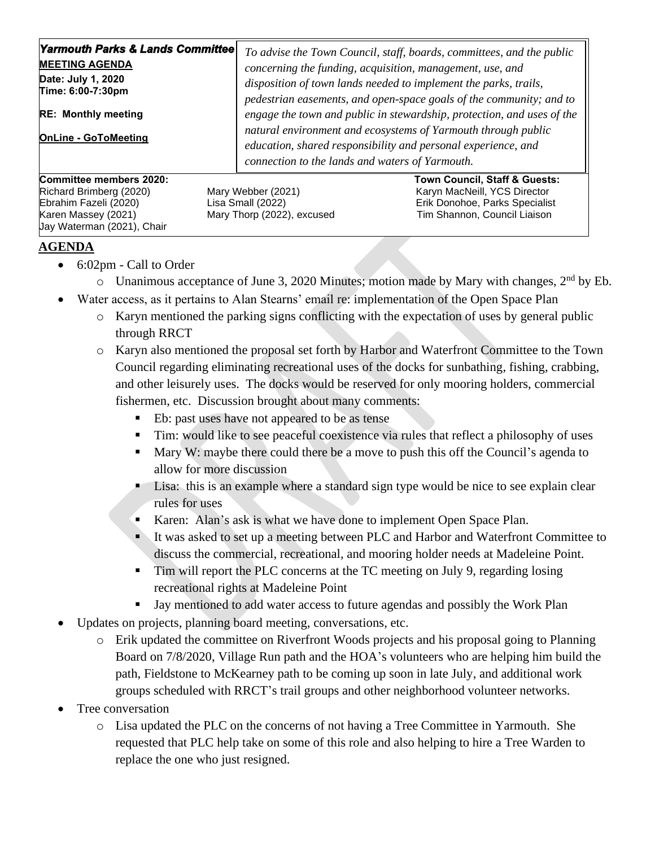| Yarmouth Parks & Lands Committee <br><b>MEETING AGENDA</b><br>Date: July 1, 2020<br>Time: 6:00-7:30pm<br><b>RE: Monthly meeting</b><br><b>OnLine - GoToMeeting</b> | To advise the Town Council, staff, boards, committees, and the public<br>concerning the funding, acquisition, management, use, and<br>disposition of town lands needed to implement the parks, trails,<br>pedestrian easements, and open-space goals of the community; and to<br>engage the town and public in stewardship, protection, and uses of the<br>natural environment and ecosystems of Yarmouth through public<br>education, shared responsibility and personal experience, and<br>connection to the lands and waters of Yarmouth. |                                                                                                                                 |
|--------------------------------------------------------------------------------------------------------------------------------------------------------------------|----------------------------------------------------------------------------------------------------------------------------------------------------------------------------------------------------------------------------------------------------------------------------------------------------------------------------------------------------------------------------------------------------------------------------------------------------------------------------------------------------------------------------------------------|---------------------------------------------------------------------------------------------------------------------------------|
| Committee members 2020:<br>Richard Brimberg (2020)<br>Ebrahim Fazeli (2020)<br>Karen Massey (2021)<br>Uay Waterman (2021), Chair                                   | Mary Webber (2021)<br>Lisa Small (2022)<br>Mary Thorp (2022), excused                                                                                                                                                                                                                                                                                                                                                                                                                                                                        | Town Council, Staff & Guests:<br>Karyn MacNeill, YCS Director<br>Erik Donohoe, Parks Specialist<br>Tim Shannon, Council Liaison |

## **AGENDA**

- 6:02pm Call to Order
	- o Unanimous acceptance of June 3, 2020 Minutes; motion made by Mary with changes, 2nd by Eb.
- Water access, as it pertains to Alan Stearns' email re: implementation of the Open Space Plan
	- o Karyn mentioned the parking signs conflicting with the expectation of uses by general public through RRCT
	- o Karyn also mentioned the proposal set forth by Harbor and Waterfront Committee to the Town Council regarding eliminating recreational uses of the docks for sunbathing, fishing, crabbing, and other leisurely uses. The docks would be reserved for only mooring holders, commercial fishermen, etc. Discussion brought about many comments:
		- Eb: past uses have not appeared to be as tense
		- **Tim:** would like to see peaceful coexistence via rules that reflect a philosophy of uses
		- Mary W: maybe there could there be a move to push this off the Council's agenda to allow for more discussion
		- **Example 1.5 Lisa:** this is an example where a standard sign type would be nice to see explain clear rules for uses
		- Karen: Alan's ask is what we have done to implement Open Space Plan.
		- It was asked to set up a meeting between PLC and Harbor and Waterfront Committee to discuss the commercial, recreational, and mooring holder needs at Madeleine Point.
		- **Tim will report the PLC concerns at the TC meeting on July 9, regarding losing** recreational rights at Madeleine Point
		- Jay mentioned to add water access to future agendas and possibly the Work Plan
- Updates on projects, planning board meeting, conversations, etc.
	- o Erik updated the committee on Riverfront Woods projects and his proposal going to Planning Board on 7/8/2020, Village Run path and the HOA's volunteers who are helping him build the path, Fieldstone to McKearney path to be coming up soon in late July, and additional work groups scheduled with RRCT's trail groups and other neighborhood volunteer networks.
- Tree conversation
	- o Lisa updated the PLC on the concerns of not having a Tree Committee in Yarmouth. She requested that PLC help take on some of this role and also helping to hire a Tree Warden to replace the one who just resigned.